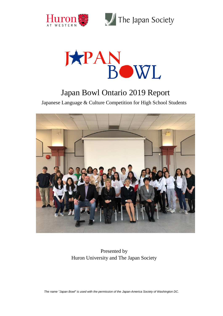



## Japan Bowl Ontario 2019 Report

Japanese Language & Culture Competition for High School Students



Presented by Huron University and The Japan Society

*The name "Japan Bowl" is used with the permission of the Japan-America Society of Washington DC.*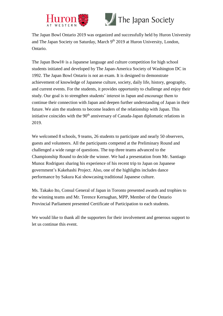



# The Japan Society

The Japan Bowl Ontario 2019 was organized and successfully held by Huron University and The Japan Society on Saturday, March 9<sup>th</sup> 2019 at Huron University, London, Ontario.

The Japan Bowl® is a Japanese language and culture competition for high school students initiated and developed by The Japan-America Society of Washington DC in 1992. The Japan Bowl Ontario is not an exam. It is designed to demonstrate achievement of knowledge of Japanese culture, society, daily life, history, geography, and current events. For the students, it provides opportunity to challenge and enjoy their study. Our goal is to strengthen students' interest in Japan and encourage them to continue their connection with Japan and deepen further understanding of Japan in their future. We aim the students to become leaders of the relationship with Japan. This initiative coincides with the 90<sup>th</sup> anniversary of Canada-Japan diplomatic relations in 2019.

We welcomed 8 schools, 9 teams, 26 students to participate and nearly 50 observers, guests and volunteers. All the participants competed at the Preliminary Round and challenged a wide range of questions. The top three teams advanced to the Championship Round to decide the winner. We had a presentation from Mr. Santiago Munoz Rodriguez sharing his experience of his recent trip to Japan on Japanese government's Kakehashi Project. Also, one of the highlights includes dance performance by Sakura Kai showcasing traditional Japanese culture.

Ms. Takako Ito, Consul General of Japan in Toronto presented awards and trophies to the winning teams and Mr. Terence Kernaghan, MPP, Member of the Ontario Provincial Parliament presented Certificate of Participation to each students.

We would like to thank all the supporters for their involvement and generous support to let us continue this event.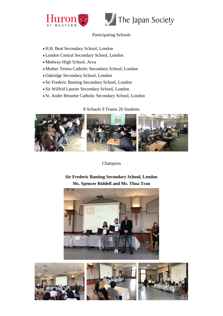



#### Participating Schools

- H.B. Beal Secondary School, London
- London Central Secondary School, London
- Medway High School, Arva
- Mother Teresa Catholic Secondary School, London
- Oakridge Secondary School, London
- Sir Frederic Banting Secondary School, London
- Sir Wilfrid Laurier Secondary School, London
- St. Andre Bessette Catholic Secondary School, London

8 Schools 9 Teams 26 Students



Champion

**Sir Frederic Banting Secondary School, London Ms. Spencer Riddell and Ms. Thoa Tran**



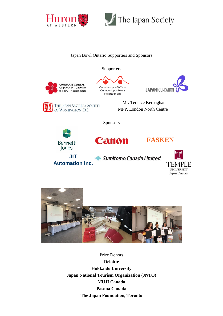



#### Japan Bowl Ontario Supporters and Sponsors

**Supporters** 









THE JAPAN-AMERICA SOCIETY **Mr. Terence Kernaghan** OF WASHINGTON DC MPP, London North Centre

Sponsors







**Automation Inc.**

Sumitomo Canada Limited





Prize Donors **Deloitte Hokkaido University Japan National Tourism Organization (JNTO) MUJI Canada Pasona Canada The Japan Foundation, Toronto**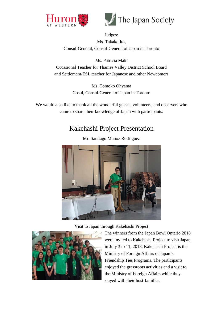



Judges: Ms. Takako Ito, Consul-General, Consul-General of Japan in Toronto

Ms. Patricia Maki Occasional Teacher for Thames Valley District School Board and Settlement/ESL teacher for Japanese and other Newcomers

> Ms. Tomoko Ohyama Cosul, Consul-General of Japan in Toronto

We would also like to thank all the wonderful guests, volunteers, and observers who came to share their knowledge of Japan with participants.

## Kakehashi Project Presentation



Mr. Santiago Munoz Rodriguez

Visit to Japan through Kakehashi Project



The winners from the Japan Bowl Ontario 2018 were invited to Kakehashi Project to visit Japan in July 3 to 11, 2018. Kakehashi Project is the Ministry of Foreign Affairs of Japan's Friendship Ties Programs. The participants enjoyed the grassroots activities and a visit to the Ministry of Foreign Affairs while they stayed with their host-families.